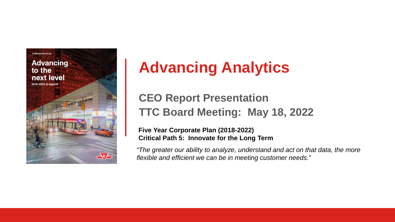

# **Advancing Analytics**

#### **CEO Report Presentation TTC Board Meeting: May 18, 2022**

#### **Five Year Corporate Plan (2018-2022) Critical Path 5: Innovate for the Long Term**

*"The greater our ability to analyze, understand and act on that data, the more flexible and efficient we can be in meeting customer needs."*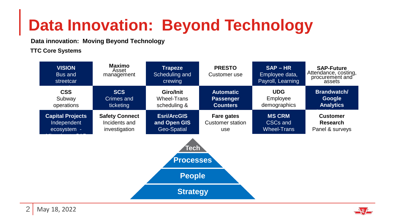# **Data Innovation: Beyond Technology**

**Data innovation: Moving Beyond Technology**

**TTC Core Systems**

| <b>VISION</b><br>Bus and<br>streetcar | <b>Maximo</b><br>Asset<br>management | <b>Trapeze</b><br>Scheduling and<br>crewing | <b>PRESTO</b><br>Customer use | $SAP - HR$<br>Employee data,<br>Payroll, Learning | <b>SAP-Future</b><br>Attendance, costing,<br>procurement and<br>assets |
|---------------------------------------|--------------------------------------|---------------------------------------------|-------------------------------|---------------------------------------------------|------------------------------------------------------------------------|
| <b>CSS</b>                            | <b>SCS</b>                           | Giro/Init                                   | <b>Automatic</b>              | <b>UDG</b>                                        | Brandwatch/                                                            |
| Subway                                | Crimes and                           | Wheel-Trans                                 | <b>Passenger</b>              | Employee                                          | Google                                                                 |
| operations                            | ticketing                            | scheduling &                                | <b>Counters</b>               | demographics                                      | <b>Analytics</b>                                                       |
| <b>Capital Projects</b>               | <b>Safety Connect</b>                | <b>Esri/ArcGIS</b>                          | Fare gates                    | <b>MS CRM</b>                                     | <b>Customer</b>                                                        |
| Independent                           | Incidents and                        | and Open GIS                                | Customer station              | CSC <sub>s</sub> and                              | Research                                                               |
| ecosystem -                           | investigation                        | Geo-Spatial                                 | use                           | <b>Wheel-Trans</b>                                | Panel & surveys                                                        |



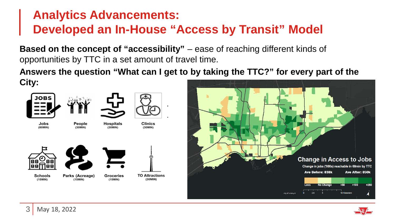## **Analytics Advancements: Developed an In-House "Access by Transit" Model**

**Based on the concept of "accessibility"** – ease of reaching different kinds of opportunities by TTC in a set amount of travel time.

**Answers the question "What can I get to by taking the TTC?" for every part of the City:**



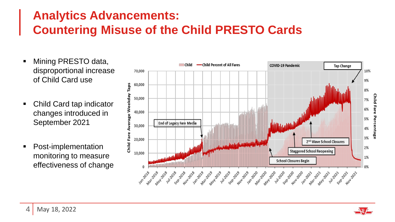### **Analytics Advancements: Countering Misuse of the Child PRESTO Cards**

- Mining PRESTO data, disproportional increase of Child Card use
- Child Card tap indicator changes introduced in September 2021
- Post-implementation monitoring to measure effectiveness of change



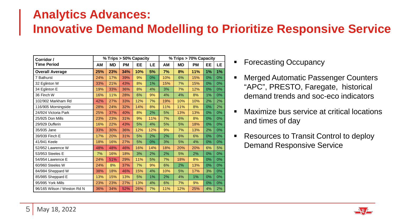#### **Analytics Advances: Innovative Demand Modelling to Prioritize Responsive Service**

| Corridor /                  | % Trips > 50% Capacity |           |           |     | % Trips > 70% Capacity |     |     |           |    |    |
|-----------------------------|------------------------|-----------|-----------|-----|------------------------|-----|-----|-----------|----|----|
| <b>Time Period</b>          | ΑМ                     | <b>MD</b> | <b>PM</b> | EE  | LE                     | ΑM  | MD  | <b>PM</b> | EE | LE |
| <b>Overall Average</b>      | 25%                    | 23%       | 34%       | 10% | 5%                     | 7%  | 8%  | 11%       | 1% | 1% |
| 7 Bathurst                  | 24%                    | 17%       | 39%       | 9%  | 0%                     | 10% | 6%  | 15%       | 0% | 0% |
| 32 Eglinton W               | 33%                    | 21%       | 43%       | 8%  | 1%                     | 15% | 7%  | 15%       | 0% | 0% |
| 34 Eglinton E               | 19%                    | 33%       | 36%       | 8%  | 4%                     | 3%  | 7%  | 12%       | 0% | 0% |
| 36 Finch W                  | 16%                    | 11%       | 28%       | 6%  | 9%                     | 4%  | 4%  | 8%        | 1% | 0% |
| 102/902 Markham Rd          | 42%                    | 27%       | 33%       | 12% | 7%                     | 19% | 10% | 10%       | 2% | 2% |
| 116/905 Morningside         | 28%                    | 24%       | 32%       | 14% | 8%                     | 11% | 11% | 8%        | 0% | 2% |
| 24/924 Victoria Park        | 25%                    | 37%       | 40%       | 8%  | 2%                     | 5%  | 13% | 13%       | 0% | 0% |
| 25/925 Don Mills            | 23%                    | 23%       | 31%       | 9%  | 11%                    | 7%  | 6%  | 8%        | 0% | 0% |
| 29/929 Dufferin             | 16%                    | 22%       | 43%       | 5%  | 4%                     | 5%  | 5%  | 18%       | 0% | 0% |
| 35/935 Jane                 | 33%                    | 30%       | 36%       | 12% | 12%                    | 9%  | 7%  | 13%       | 2% | 0% |
| 39/939 Finch E              | 17%                    | 20%       | 31%       | 5%  | 2%                     | 2%  | 6%  | 6%        | 0% | 0% |
| 41/941 Keele                | 18%                    | 16%       | 27%       | 5%  | 0%                     | 3%  | 5%  | 4%        | 0% | 0% |
| 52/952 Lawrence W           | 48%                    | 48%       | 46%       | 16% | 14%                    | 18% | 20% | 20%       | 6% | 5% |
| 53/953 Steeles E            | 7%                     | 16%       | 18%       | 3%  | 2%                     | 2%  | 5%  | 2%        | 0% | 0% |
| 54/954 Lawrence E           | 24%                    | 51%       | 29%       | 11% | 5%                     | 7%  | 18% | 8%        | 0% | 0% |
| 60/960 Steeles W            | 24%                    | 8%        | 37%       | 7%  | 9%                     | 6%  | 2%  | 13%       | 0% | 0% |
| 84/984 Sheppard W           | 38%                    | 18%       | 46%       | 15% | 4%                     | 10% | 5%  | 17%       | 3% | 0% |
| 85/985 Sheppard E           | 13%                    | 15%       | 13%       | 5%  | 1%                     | 2%  | 4%  | 1%        | 0% | 0% |
| 95/995 York Mills           | 23%                    | 23%       | 27%       | 13% | 4%                     | 6%  | 7%  | 9%        | 0% | 0% |
| 96/165 Wilson / Weston Rd N | 36%                    | 34%       | 52%       | 26% | 7%                     | 11% | 12% | 25%       | 4% | 2% |

- Forecasting Occupancy
	- Merged Automatic Passenger Counters "APC", PRESTO, Faregate, historical demand trends and soc-eco indicators
- **Maximize bus service at critical locations** and times of day
- Resources to Transit Control to deploy Demand Responsive Service

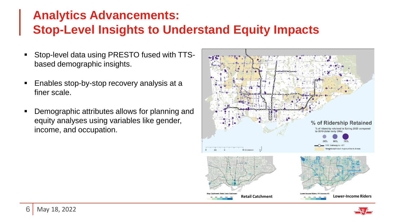## **Analytics Advancements: Stop-Level Insights to Understand Equity Impacts**

- Stop-level data using PRESTO fused with TTSbased demographic insights.
- **Enables stop-by-stop recovery analysis at a** finer scale.
- Demographic attributes allows for planning and equity analyses using variables like gender, income, and occupation.



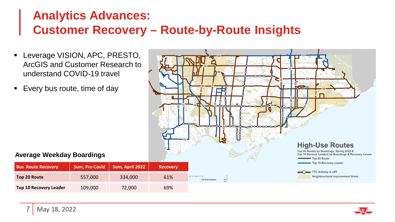### **Analytics Advances: Customer Recovery – Route-by-Route Insights**

- Leverage VISION, APC, PRESTO, ArcGIS and Customer Research to understand COVID-19 travel
- Every bus route, time of day



#### **Average Weekday Boardings**

| 7   May 18, 2022 |  |
|------------------|--|

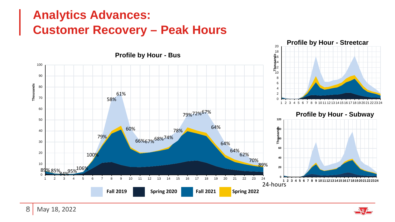## **Analytics Advances: Customer Recovery – Peak Hours**



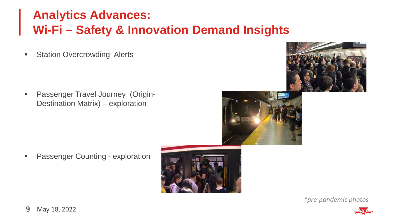## **Analytics Advances: Wi-Fi – Safety & Innovation Demand Insights**

**Station Overcrowding Alerts** 

**Passenger Travel Journey (Origin-**Destination Matrix) – exploration





**•** Passenger Counting - exploration



*\*pre-pandemic photos*

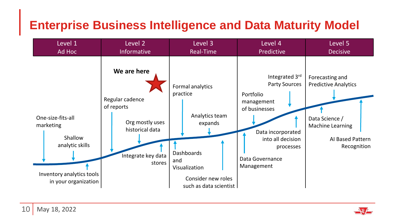## **Enterprise Business Intelligence and Data Maturity Model**

| Level 1                                                                                                           | Level 2                                                                                                            | Level 3                                                                                                                                         | Level 4                                                                                                                                                                    | Level 5                                                                                                                 |  |
|-------------------------------------------------------------------------------------------------------------------|--------------------------------------------------------------------------------------------------------------------|-------------------------------------------------------------------------------------------------------------------------------------------------|----------------------------------------------------------------------------------------------------------------------------------------------------------------------------|-------------------------------------------------------------------------------------------------------------------------|--|
| Ad Hoc                                                                                                            | <b>Informative</b>                                                                                                 | Real-Time                                                                                                                                       | Predictive                                                                                                                                                                 | <b>Decisive</b>                                                                                                         |  |
| One-size-fits-all<br>marketing<br>Shallow<br>analytic skills<br>Inventory analytics tools<br>in your organization | We are here<br>Regular cadence<br>of reports<br>Org mostly uses<br>historical data<br>Integrate key data<br>stores | Formal analytics<br>practice<br>Analytics team<br>expands<br>Dashboards<br>and<br>Visualization<br>Consider new roles<br>such as data scientist | Integrated 3rd<br><b>Party Sources</b><br>Portfolio<br>management<br>of businesses<br>Data incorporated<br>into all decision<br>processes<br>Data Governance<br>Management | Forecasting and<br><b>Predictive Analytics</b><br>Data Science /<br>Machine Learning<br>AI Based Pattern<br>Recognition |  |

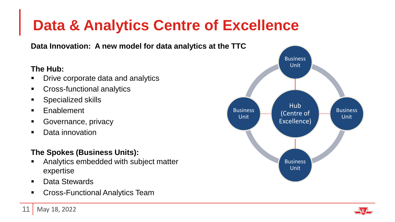## **Data & Analytics Centre of Excellence**

**Data Innovation: A new model for data analytics at the TTC**

#### **The Hub:**

- Drive corporate data and analytics
- **Cross-functional analytics**
- Specialized skills
- **Enablement**
- Governance, privacy
- Data innovation

#### **The Spokes (Business Units):**

- Analytics embedded with subject matter expertise
- Data Stewards
- Cross-Functional Analytics Team